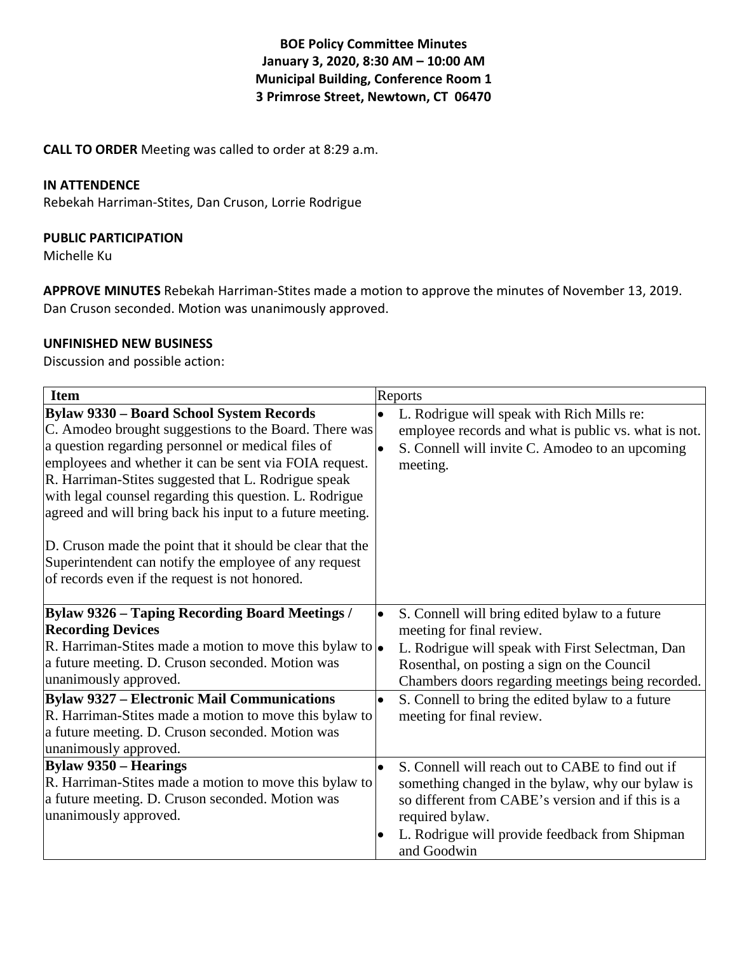**BOE Policy Committee Minutes January 3, 2020, 8:30 AM – 10:00 AM Municipal Building, Conference Room 1 3 Primrose Street, Newtown, CT 06470**

**CALL TO ORDER** Meeting was called to order at 8:29 a.m.

#### **IN ATTENDENCE**

Rebekah Harriman-Stites, Dan Cruson, Lorrie Rodrigue

### **PUBLIC PARTICIPATION**

Michelle Ku

**APPROVE MINUTES** Rebekah Harriman-Stites made a motion to approve the minutes of November 13, 2019. Dan Cruson seconded. Motion was unanimously approved.

#### **UNFINISHED NEW BUSINESS**

Discussion and possible action:

| <b>Item</b>                                                                                                                                                                                                                                                                                                                                                                                                                                                                                                                                                                     | Reports                                                                                                                                                                                                                                                                                                                                        |  |
|---------------------------------------------------------------------------------------------------------------------------------------------------------------------------------------------------------------------------------------------------------------------------------------------------------------------------------------------------------------------------------------------------------------------------------------------------------------------------------------------------------------------------------------------------------------------------------|------------------------------------------------------------------------------------------------------------------------------------------------------------------------------------------------------------------------------------------------------------------------------------------------------------------------------------------------|--|
| <b>Bylaw 9330 - Board School System Records</b><br>C. Amodeo brought suggestions to the Board. There was<br>a question regarding personnel or medical files of<br>employees and whether it can be sent via FOIA request.<br>R. Harriman-Stites suggested that L. Rodrigue speak<br>with legal counsel regarding this question. L. Rodrigue<br>agreed and will bring back his input to a future meeting.<br>D. Cruson made the point that it should be clear that the<br>Superintendent can notify the employee of any request<br>of records even if the request is not honored. | L. Rodrigue will speak with Rich Mills re:<br>$\bullet$<br>employee records and what is public vs. what is not.<br>S. Connell will invite C. Amodeo to an upcoming<br>$\bullet$<br>meeting.                                                                                                                                                    |  |
| <b>Bylaw 9326 - Taping Recording Board Meetings /</b><br><b>Recording Devices</b><br>R. Harriman-Stites made a motion to move this bylaw to $\bullet$<br>a future meeting. D. Cruson seconded. Motion was<br>unanimously approved.<br><b>Bylaw 9327 - Electronic Mail Communications</b><br>R. Harriman-Stites made a motion to move this bylaw to<br>a future meeting. D. Cruson seconded. Motion was<br>unanimously approved.                                                                                                                                                 | S. Connell will bring edited bylaw to a future<br>$\bullet$<br>meeting for final review.<br>L. Rodrigue will speak with First Selectman, Dan<br>Rosenthal, on posting a sign on the Council<br>Chambers doors regarding meetings being recorded.<br>S. Connell to bring the edited bylaw to a future<br>$\bullet$<br>meeting for final review. |  |
| <b>Bylaw 9350 – Hearings</b><br>R. Harriman-Stites made a motion to move this bylaw to<br>a future meeting. D. Cruson seconded. Motion was<br>unanimously approved.                                                                                                                                                                                                                                                                                                                                                                                                             | S. Connell will reach out to CABE to find out if<br>$\bullet$<br>something changed in the bylaw, why our bylaw is<br>so different from CABE's version and if this is a<br>required bylaw.<br>L. Rodrigue will provide feedback from Shipman<br>and Goodwin                                                                                     |  |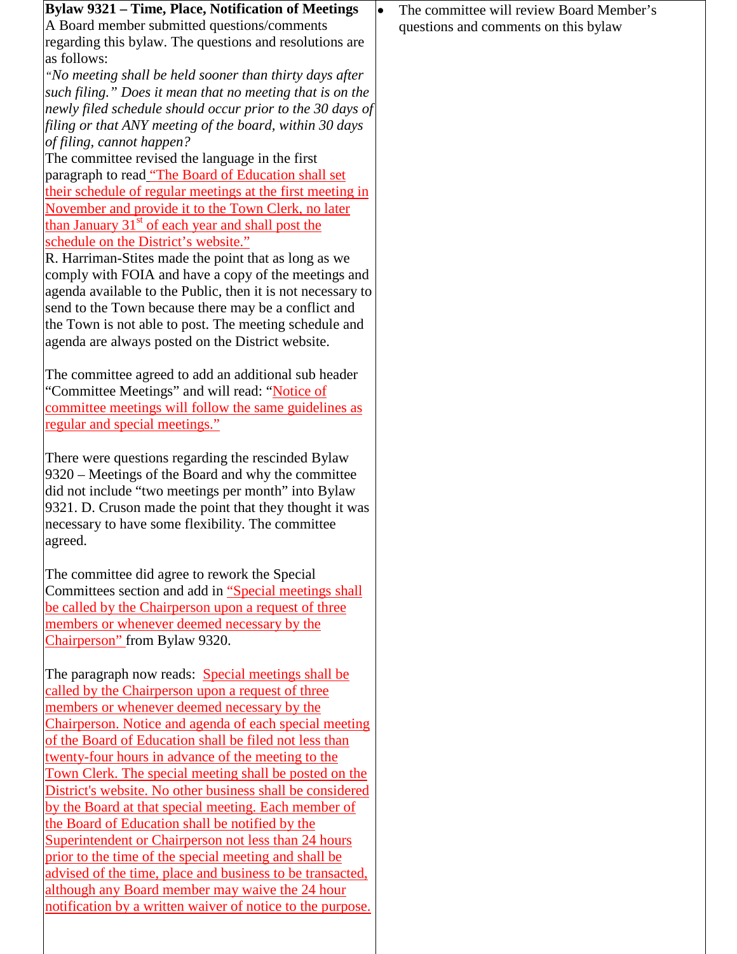| Bylaw 9321 – Time, Place, Notification of Meetings                                                                                                                                                                                                                                         | The committee will review Board Member's<br>$\bullet$ |
|--------------------------------------------------------------------------------------------------------------------------------------------------------------------------------------------------------------------------------------------------------------------------------------------|-------------------------------------------------------|
| A Board member submitted questions/comments                                                                                                                                                                                                                                                | questions and comments on this bylaw                  |
| regarding this bylaw. The questions and resolutions are                                                                                                                                                                                                                                    |                                                       |
| as follows:                                                                                                                                                                                                                                                                                |                                                       |
| "No meeting shall be held sooner than thirty days after                                                                                                                                                                                                                                    |                                                       |
| such filing." Does it mean that no meeting that is on the                                                                                                                                                                                                                                  |                                                       |
| newly filed schedule should occur prior to the 30 days of                                                                                                                                                                                                                                  |                                                       |
| filing or that ANY meeting of the board, within 30 days                                                                                                                                                                                                                                    |                                                       |
| of filing, cannot happen?                                                                                                                                                                                                                                                                  |                                                       |
| The committee revised the language in the first                                                                                                                                                                                                                                            |                                                       |
| paragraph to read "The Board of Education shall set                                                                                                                                                                                                                                        |                                                       |
| their schedule of regular meetings at the first meeting in                                                                                                                                                                                                                                 |                                                       |
| November and provide it to the Town Clerk, no later                                                                                                                                                                                                                                        |                                                       |
| than January $31st$ of each year and shall post the                                                                                                                                                                                                                                        |                                                       |
| schedule on the District's website."                                                                                                                                                                                                                                                       |                                                       |
| R. Harriman-Stites made the point that as long as we                                                                                                                                                                                                                                       |                                                       |
| comply with FOIA and have a copy of the meetings and                                                                                                                                                                                                                                       |                                                       |
| agenda available to the Public, then it is not necessary to                                                                                                                                                                                                                                |                                                       |
| send to the Town because there may be a conflict and                                                                                                                                                                                                                                       |                                                       |
| the Town is not able to post. The meeting schedule and                                                                                                                                                                                                                                     |                                                       |
| agenda are always posted on the District website.                                                                                                                                                                                                                                          |                                                       |
|                                                                                                                                                                                                                                                                                            |                                                       |
| The committee agreed to add an additional sub header                                                                                                                                                                                                                                       |                                                       |
| "Committee Meetings" and will read: "Notice of                                                                                                                                                                                                                                             |                                                       |
| committee meetings will follow the same guidelines as                                                                                                                                                                                                                                      |                                                       |
| <u>regular and special meetings."</u>                                                                                                                                                                                                                                                      |                                                       |
|                                                                                                                                                                                                                                                                                            |                                                       |
| There were questions regarding the rescinded Bylaw<br>9320 – Meetings of the Board and why the committee<br>did not include "two meetings per month" into Bylaw<br>9321. D. Cruson made the point that they thought it was<br>necessary to have some flexibility. The committee<br>agreed. |                                                       |
|                                                                                                                                                                                                                                                                                            |                                                       |
| The committee did agree to rework the Special                                                                                                                                                                                                                                              |                                                       |
| Committees section and add in "Special meetings shall                                                                                                                                                                                                                                      |                                                       |
| be called by the Chairperson upon a request of three                                                                                                                                                                                                                                       |                                                       |
| members or whenever deemed necessary by the                                                                                                                                                                                                                                                |                                                       |
| Chairperson" from Bylaw 9320.                                                                                                                                                                                                                                                              |                                                       |
|                                                                                                                                                                                                                                                                                            |                                                       |
| The paragraph now reads: Special meetings shall be                                                                                                                                                                                                                                         |                                                       |
| called by the Chairperson upon a request of three                                                                                                                                                                                                                                          |                                                       |
| members or whenever deemed necessary by the                                                                                                                                                                                                                                                |                                                       |
| Chairperson. Notice and agenda of each special meeting                                                                                                                                                                                                                                     |                                                       |
| of the Board of Education shall be filed not less than                                                                                                                                                                                                                                     |                                                       |
| twenty-four hours in advance of the meeting to the                                                                                                                                                                                                                                         |                                                       |
| Town Clerk. The special meeting shall be posted on the                                                                                                                                                                                                                                     |                                                       |
| District's website. No other business shall be considered                                                                                                                                                                                                                                  |                                                       |
| by the Board at that special meeting. Each member of                                                                                                                                                                                                                                       |                                                       |
| the Board of Education shall be notified by the                                                                                                                                                                                                                                            |                                                       |
| Superintendent or Chairperson not less than 24 hours                                                                                                                                                                                                                                       |                                                       |
| prior to the time of the special meeting and shall be                                                                                                                                                                                                                                      |                                                       |
| advised of the time, place and business to be transacted,                                                                                                                                                                                                                                  |                                                       |
| although any Board member may waive the 24 hour                                                                                                                                                                                                                                            |                                                       |
| notification by a written waiver of notice to the purpose.                                                                                                                                                                                                                                 |                                                       |
|                                                                                                                                                                                                                                                                                            |                                                       |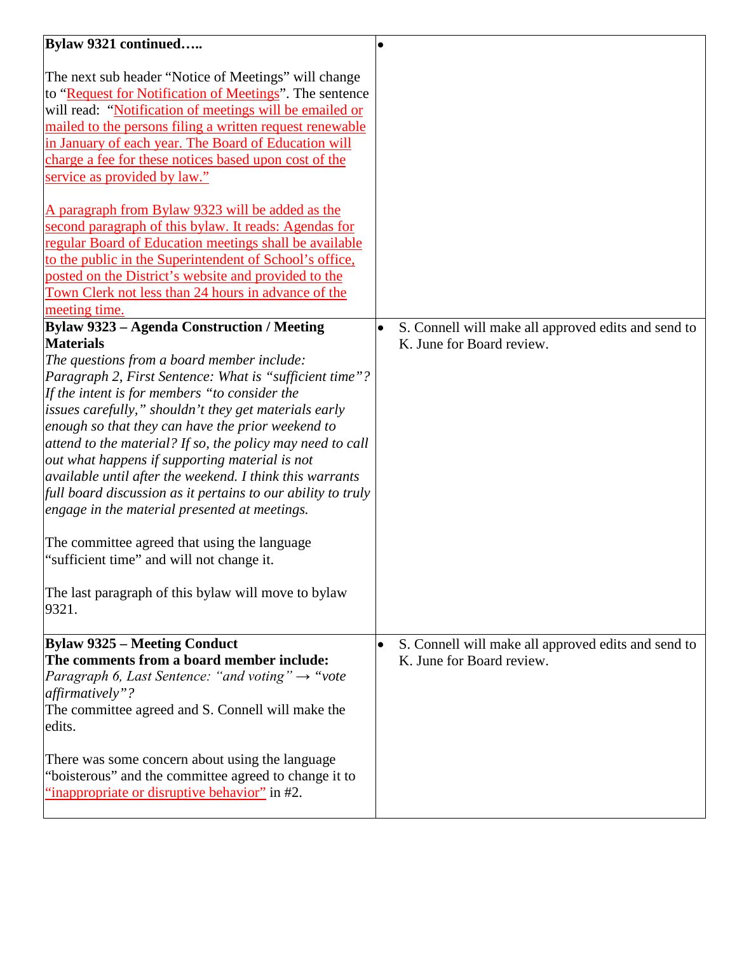| Bylaw 9321 continued                                                                      |           |                                                     |
|-------------------------------------------------------------------------------------------|-----------|-----------------------------------------------------|
|                                                                                           |           |                                                     |
| The next sub header "Notice of Meetings" will change                                      |           |                                                     |
| to "Request for Notification of Meetings". The sentence                                   |           |                                                     |
| will read: "Notification of meetings will be emailed or                                   |           |                                                     |
| mailed to the persons filing a written request renewable                                  |           |                                                     |
| in January of each year. The Board of Education will                                      |           |                                                     |
| charge a fee for these notices based upon cost of the                                     |           |                                                     |
| service as provided by law."                                                              |           |                                                     |
|                                                                                           |           |                                                     |
| A paragraph from Bylaw 9323 will be added as the                                          |           |                                                     |
| second paragraph of this bylaw. It reads: Agendas for                                     |           |                                                     |
| regular Board of Education meetings shall be available                                    |           |                                                     |
| to the public in the Superintendent of School's office,                                   |           |                                                     |
| posted on the District's website and provided to the                                      |           |                                                     |
| Town Clerk not less than 24 hours in advance of the                                       |           |                                                     |
| meeting time.                                                                             |           |                                                     |
| <b>Bylaw 9323 - Agenda Construction / Meeting</b>                                         |           | S. Connell will make all approved edits and send to |
| <b>Materials</b>                                                                          |           | K. June for Board review.                           |
| The questions from a board member include:                                                |           |                                                     |
| Paragraph 2, First Sentence: What is "sufficient time"?                                   |           |                                                     |
| If the intent is for members "to consider the                                             |           |                                                     |
| issues carefully," shouldn't they get materials early                                     |           |                                                     |
| enough so that they can have the prior weekend to                                         |           |                                                     |
| attend to the material? If so, the policy may need to call                                |           |                                                     |
| out what happens if supporting material is not                                            |           |                                                     |
| available until after the weekend. I think this warrants                                  |           |                                                     |
| full board discussion as it pertains to our ability to truly                              |           |                                                     |
| engage in the material presented at meetings.                                             |           |                                                     |
|                                                                                           |           |                                                     |
| The committee agreed that using the language<br>"sufficient time" and will not change it. |           |                                                     |
|                                                                                           |           |                                                     |
| The last paragraph of this bylaw will move to bylaw                                       |           |                                                     |
| 9321.                                                                                     |           |                                                     |
|                                                                                           |           |                                                     |
| <b>Bylaw 9325 – Meeting Conduct</b>                                                       | $\bullet$ | S. Connell will make all approved edits and send to |
| The comments from a board member include:                                                 |           | K. June for Board review.                           |
| Paragraph 6, Last Sentence: "and voting" $\rightarrow$ "vote                              |           |                                                     |
| affirmatively"?                                                                           |           |                                                     |
| The committee agreed and S. Connell will make the                                         |           |                                                     |
| edits.                                                                                    |           |                                                     |
|                                                                                           |           |                                                     |
| There was some concern about using the language                                           |           |                                                     |
| "boisterous" and the committee agreed to change it to                                     |           |                                                     |
| "inappropriate or disruptive behavior" in #2.                                             |           |                                                     |
|                                                                                           |           |                                                     |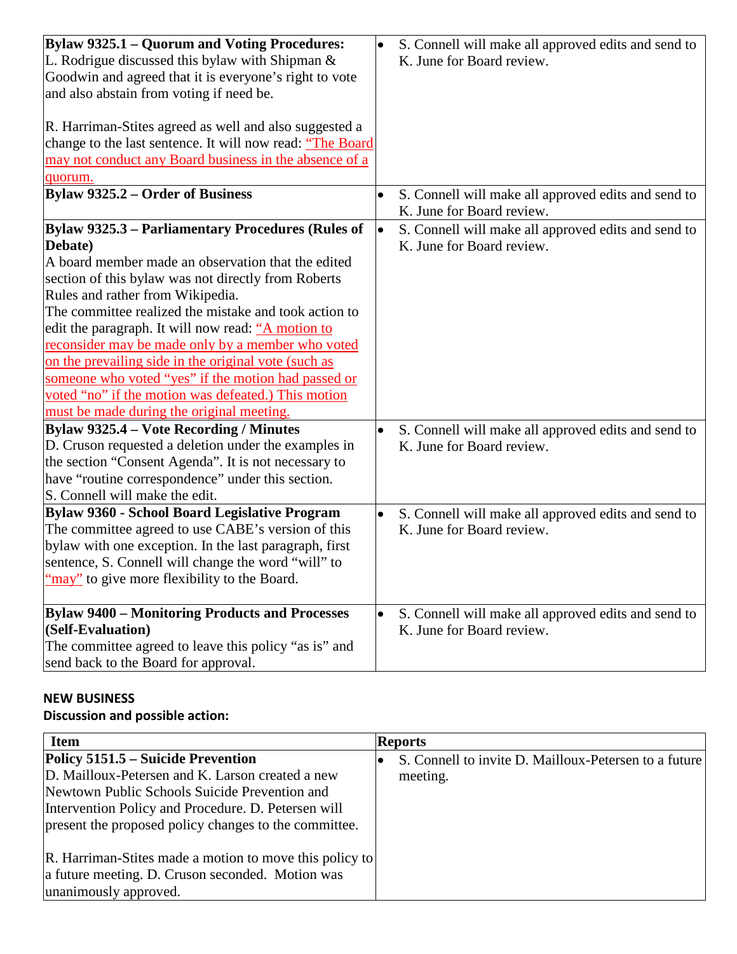| <b>Bylaw 9325.1 – Quorum and Voting Procedures:</b>        | $\bullet$ | S. Connell will make all approved edits and send to |
|------------------------------------------------------------|-----------|-----------------------------------------------------|
| L. Rodrigue discussed this bylaw with Shipman $\&$         |           | K. June for Board review.                           |
| Goodwin and agreed that it is everyone's right to vote     |           |                                                     |
| and also abstain from voting if need be.                   |           |                                                     |
|                                                            |           |                                                     |
| R. Harriman-Stites agreed as well and also suggested a     |           |                                                     |
| change to the last sentence. It will now read: "The Board" |           |                                                     |
| may not conduct any Board business in the absence of a     |           |                                                     |
| quorum.                                                    |           |                                                     |
| <b>Bylaw 9325.2 – Order of Business</b>                    |           | S. Connell will make all approved edits and send to |
|                                                            |           | K. June for Board review.                           |
| Bylaw 9325.3 – Parliamentary Procedures (Rules of          | I۰        | S. Connell will make all approved edits and send to |
| Debate)                                                    |           | K. June for Board review.                           |
| A board member made an observation that the edited         |           |                                                     |
| section of this bylaw was not directly from Roberts        |           |                                                     |
| Rules and rather from Wikipedia.                           |           |                                                     |
| The committee realized the mistake and took action to      |           |                                                     |
| edit the paragraph. It will now read: "A motion to         |           |                                                     |
| reconsider may be made only by a member who voted          |           |                                                     |
| on the prevailing side in the original vote (such as       |           |                                                     |
| someone who voted "yes" if the motion had passed or        |           |                                                     |
| voted "no" if the motion was defeated.) This motion        |           |                                                     |
| must be made during the original meeting.                  |           |                                                     |
| Bylaw 9325.4 – Vote Recording / Minutes                    | $\bullet$ | S. Connell will make all approved edits and send to |
| D. Cruson requested a deletion under the examples in       |           | K. June for Board review.                           |
| the section "Consent Agenda". It is not necessary to       |           |                                                     |
| have "routine correspondence" under this section.          |           |                                                     |
| S. Connell will make the edit.                             |           |                                                     |
| Bylaw 9360 - School Board Legislative Program              | $\bullet$ | S. Connell will make all approved edits and send to |
| The committee agreed to use CABE's version of this         |           | K. June for Board review.                           |
| bylaw with one exception. In the last paragraph, first     |           |                                                     |
| sentence, S. Connell will change the word "will" to        |           |                                                     |
| 'may" to give more flexibility to the Board.               |           |                                                     |
| <b>Bylaw 9400 - Monitoring Products and Processes</b>      | $\bullet$ | S. Connell will make all approved edits and send to |
| (Self-Evaluation)                                          |           | K. June for Board review.                           |
| The committee agreed to leave this policy "as is" and      |           |                                                     |
| send back to the Board for approval.                       |           |                                                     |

# **NEW BUSINESS**

### **Discussion and possible action:**

| <b>Item</b>                                                                                                                                                                                                                                             | <b>Reports</b>                                                    |
|---------------------------------------------------------------------------------------------------------------------------------------------------------------------------------------------------------------------------------------------------------|-------------------------------------------------------------------|
| Policy 5151.5 – Suicide Prevention<br>D. Mailloux-Petersen and K. Larson created a new<br>Newtown Public Schools Suicide Prevention and<br>Intervention Policy and Procedure. D. Petersen will<br>present the proposed policy changes to the committee. | S. Connell to invite D. Mailloux-Petersen to a future<br>meeting. |
| R. Harriman-Stites made a motion to move this policy to<br>a future meeting. D. Cruson seconded. Motion was<br>unanimously approved.                                                                                                                    |                                                                   |